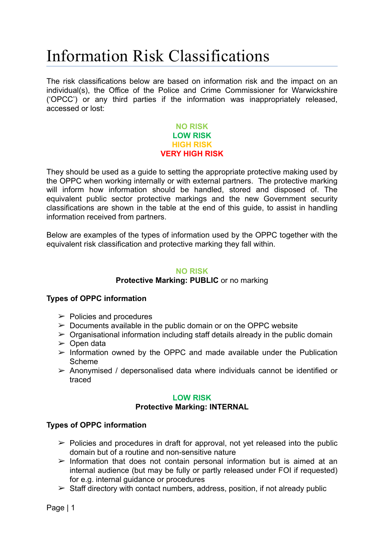# Information Risk Classifications

The risk classifications below are based on information risk and the impact on an individual(s), the Office of the Police and Crime Commissioner for Warwickshire ('OPCC') or any third parties if the information was inappropriately released, accessed or lost:

## **NO RISK LOW RISK HIGH RISK VERY HIGH RISK**

They should be used as a guide to setting the appropriate protective making used by the OPPC when working internally or with external partners. The protective marking will inform how information should be handled, stored and disposed of. The equivalent public sector protective markings and the new Government security classifications are shown in the table at the end of this guide, to assist in handling information received from partners.

Below are examples of the types of information used by the OPPC together with the equivalent risk classification and protective marking they fall within.

## **NO RISK**

## **Protective Marking: PUBLIC** or no marking

## **Types of OPPC information**

- $\triangleright$  Policies and procedures
- $\geq$  Documents available in the public domain or on the OPPC website
- $\geq$  Organisational information including staff details already in the public domain
- $\geq$  Open data
- $\triangleright$  Information owned by the OPPC and made available under the Publication Scheme
- $\geq$  Anonymised / depersonalised data where individuals cannot be identified or traced

#### **LOW RISK**

## **Protective Marking: INTERNAL**

## **Types of OPPC information**

- $\ge$  Policies and procedures in draft for approval, not vet released into the public domain but of a routine and non-sensitive nature
- $\triangleright$  Information that does not contain personal information but is aimed at an internal audience (but may be fully or partly released under FOI if requested) for e.g. internal guidance or procedures
- $\triangleright$  Staff directory with contact numbers, address, position, if not already public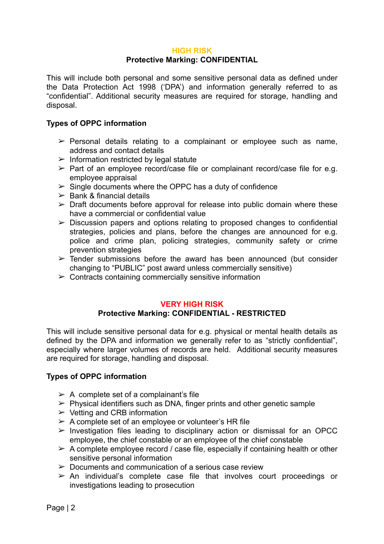## **HIGH RISK**

## **Protective Marking: CONFIDENTIAL**

This will include both personal and some sensitive personal data as defined under the Data Protection Act 1998 ('DPA') and information generally referred to as "confidential". Additional security measures are required for storage, handling and disposal.

## **Types of OPPC information**

- $\triangleright$  Personal details relating to a complainant or employee such as name, address and contact details
- $\geq$  Information restricted by legal statute
- $\triangleright$  Part of an employee record/case file or complainant record/case file for e.g. employee appraisal
- $\geq$  Single documents where the OPPC has a duty of confidence
- $\geq$  Bank & financial details
- $\triangleright$  Draft documents before approval for release into public domain where these have a commercial or confidential value
- $\geq$  Discussion papers and options relating to proposed changes to confidential strategies, policies and plans, before the changes are announced for e.g. police and crime plan, policing strategies, community safety or crime prevention strategies
- $\triangleright$  Tender submissions before the award has been announced (but consider changing to "PUBLIC" post award unless commercially sensitive)
- $\geq$  Contracts containing commercially sensitive information

## **VERY HIGH RISK**

## **Protective Marking: CONFIDENTIAL - RESTRICTED**

This will include sensitive personal data for e.g. physical or mental health details as defined by the DPA and information we generally refer to as "strictly confidential", especially where larger volumes of records are held. Additional security measures are required for storage, handling and disposal.

#### **Types of OPPC information**

- $\geq$  A complete set of a complainant's file
- $\triangleright$  Physical identifiers such as DNA, finger prints and other genetic sample
- $\triangleright$  Vetting and CRB information
- $\geq$  A complete set of an employee or volunteer's HR file
- $\geq$  Investigation files leading to disciplinary action or dismissal for an OPCC employee, the chief constable or an employee of the chief constable
- $\geq$  A complete employee record / case file, especially if containing health or other sensitive personal information
- $\geq$  Documents and communication of a serious case review
- $\geq$  An individual's complete case file that involves court proceedings or investigations leading to prosecution